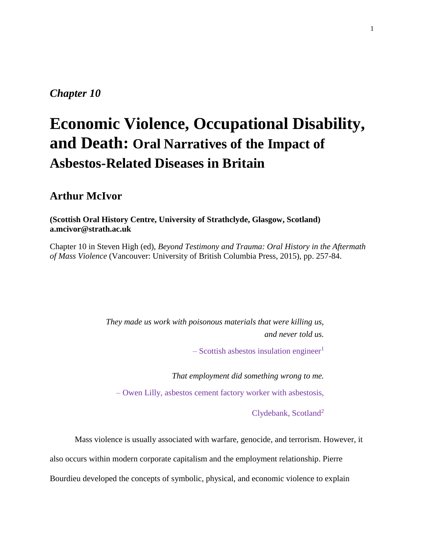#### *Chapter 10*

# **Economic Violence, Occupational Disability, and Death: Oral Narratives of the Impact of Asbestos-Related Diseases in Britain**

#### **Arthur McIvor**

#### **(Scottish Oral History Centre, University of Strathclyde, Glasgow, Scotland) a.mcivor@strath.ac.uk**

Chapter 10 in Steven High (ed), *Beyond Testimony and Trauma: Oral History in the Aftermath of Mass Violence* (Vancouver: University of British Columbia Press, 2015), pp. 257-84.

> *They made us work with poisonous materials that were killing us, and never told us.*

> > $-$  Scottish asbestos insulation engineer<sup>1</sup>

*That employment did something wrong to me.*

– Owen Lilly, asbestos cement factory worker with asbestosis,

Clydebank, Scotland<sup>2</sup>

Mass violence is usually associated with warfare, genocide, and terrorism. However, it

also occurs within modern corporate capitalism and the employment relationship. Pierre

Bourdieu developed the concepts of symbolic, physical, and economic violence to explain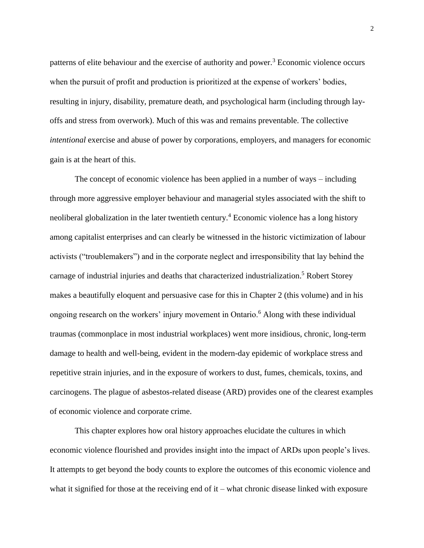patterns of elite behaviour and the exercise of authority and power.<sup>3</sup> Economic violence occurs when the pursuit of profit and production is prioritized at the expense of workers' bodies, resulting in injury, disability, premature death, and psychological harm (including through layoffs and stress from overwork). Much of this was and remains preventable. The collective *intentional* exercise and abuse of power by corporations, employers, and managers for economic gain is at the heart of this.

The concept of economic violence has been applied in a number of ways – including through more aggressive employer behaviour and managerial styles associated with the shift to neoliberal globalization in the later twentieth century.<sup>4</sup> Economic violence has a long history among capitalist enterprises and can clearly be witnessed in the historic victimization of labour activists ("troublemakers") and in the corporate neglect and irresponsibility that lay behind the carnage of industrial injuries and deaths that characterized industrialization.<sup>5</sup> Robert Storey makes a beautifully eloquent and persuasive case for this in Chapter 2 (this volume) and in his ongoing research on the workers' injury movement in Ontario.<sup>6</sup> Along with these individual traumas (commonplace in most industrial workplaces) went more insidious, chronic, long-term damage to health and well-being, evident in the modern-day epidemic of workplace stress and repetitive strain injuries, and in the exposure of workers to dust, fumes, chemicals, toxins, and carcinogens. The plague of asbestos-related disease (ARD) provides one of the clearest examples of economic violence and corporate crime.

This chapter explores how oral history approaches elucidate the cultures in which economic violence flourished and provides insight into the impact of ARDs upon people's lives. It attempts to get beyond the body counts to explore the outcomes of this economic violence and what it signified for those at the receiving end of it – what chronic disease linked with exposure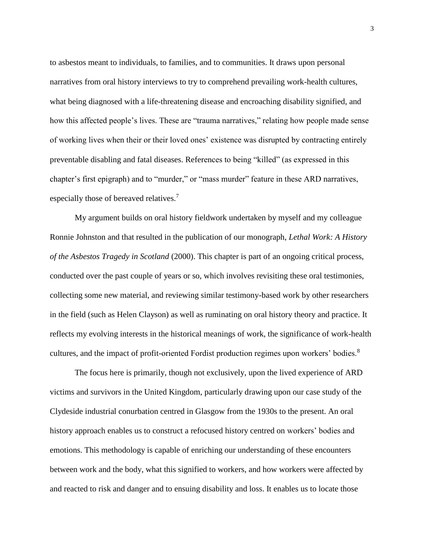to asbestos meant to individuals, to families, and to communities. It draws upon personal narratives from oral history interviews to try to comprehend prevailing work-health cultures, what being diagnosed with a life-threatening disease and encroaching disability signified, and how this affected people's lives. These are "trauma narratives," relating how people made sense of working lives when their or their loved ones' existence was disrupted by contracting entirely preventable disabling and fatal diseases. References to being "killed" (as expressed in this chapter's first epigraph) and to "murder," or "mass murder" feature in these ARD narratives, especially those of bereaved relatives.<sup>7</sup>

My argument builds on oral history fieldwork undertaken by myself and my colleague Ronnie Johnston and that resulted in the publication of our monograph, *Lethal Work: A History of the Asbestos Tragedy in Scotland* (2000). This chapter is part of an ongoing critical process, conducted over the past couple of years or so, which involves revisiting these oral testimonies, collecting some new material, and reviewing similar testimony-based work by other researchers in the field (such as Helen Clayson) as well as ruminating on oral history theory and practice. It reflects my evolving interests in the historical meanings of work, the significance of work-health cultures, and the impact of profit-oriented Fordist production regimes upon workers' bodies.<sup>8</sup>

The focus here is primarily, though not exclusively, upon the lived experience of ARD victims and survivors in the United Kingdom, particularly drawing upon our case study of the Clydeside industrial conurbation centred in Glasgow from the 1930s to the present. An oral history approach enables us to construct a refocused history centred on workers' bodies and emotions. This methodology is capable of enriching our understanding of these encounters between work and the body, what this signified to workers, and how workers were affected by and reacted to risk and danger and to ensuing disability and loss. It enables us to locate those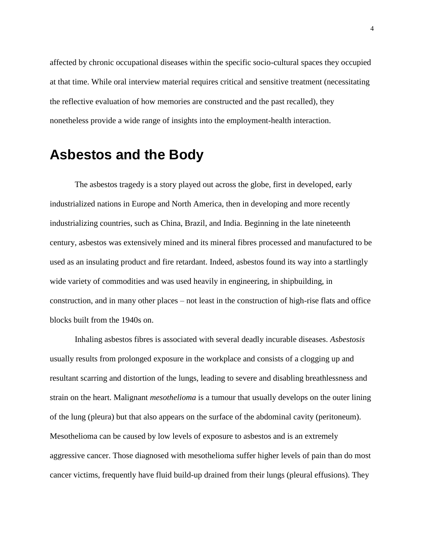affected by chronic occupational diseases within the specific socio-cultural spaces they occupied at that time. While oral interview material requires critical and sensitive treatment (necessitating the reflective evaluation of how memories are constructed and the past recalled), they nonetheless provide a wide range of insights into the employment-health interaction.

### **Asbestos and the Body**

The asbestos tragedy is a story played out across the globe, first in developed, early industrialized nations in Europe and North America, then in developing and more recently industrializing countries, such as China, Brazil, and India. Beginning in the late nineteenth century, asbestos was extensively mined and its mineral fibres processed and manufactured to be used as an insulating product and fire retardant. Indeed, asbestos found its way into a startlingly wide variety of commodities and was used heavily in engineering, in shipbuilding, in construction, and in many other places – not least in the construction of high-rise flats and office blocks built from the 1940s on.

Inhaling asbestos fibres is associated with several deadly incurable diseases. *Asbestosis* usually results from prolonged exposure in the workplace and consists of a clogging up and resultant scarring and distortion of the lungs, leading to severe and disabling breathlessness and strain on the heart. Malignant *mesothelioma* is a tumour that usually develops on the outer lining of the lung (pleura) but that also appears on the surface of the abdominal cavity (peritoneum). Mesothelioma can be caused by low levels of exposure to asbestos and is an extremely aggressive cancer. Those diagnosed with mesothelioma suffer higher levels of pain than do most cancer victims, frequently have fluid build-up drained from their lungs (pleural effusions). They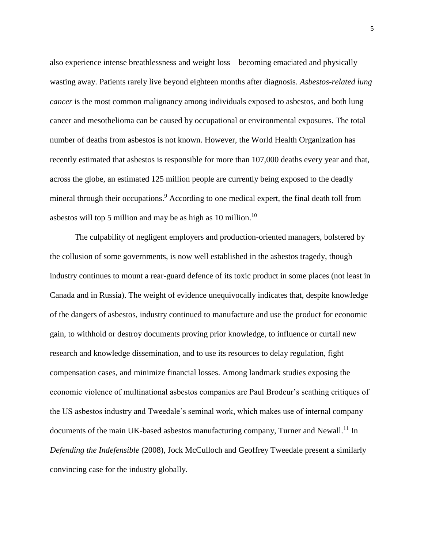also experience intense breathlessness and weight loss – becoming emaciated and physically wasting away. Patients rarely live beyond eighteen months after diagnosis. *Asbestos-related lung cancer* is the most common malignancy among individuals exposed to asbestos, and both lung cancer and mesothelioma can be caused by occupational or environmental exposures. The total number of deaths from asbestos is not known. However, the World Health Organization has recently estimated that asbestos is responsible for more than 107,000 deaths every year and that, across the globe, an estimated 125 million people are currently being exposed to the deadly mineral through their occupations.<sup>9</sup> According to one medical expert, the final death toll from asbestos will top 5 million and may be as high as  $10$  million.<sup>10</sup>

The culpability of negligent employers and production-oriented managers, bolstered by the collusion of some governments, is now well established in the asbestos tragedy, though industry continues to mount a rear-guard defence of its toxic product in some places (not least in Canada and in Russia). The weight of evidence unequivocally indicates that, despite knowledge of the dangers of asbestos, industry continued to manufacture and use the product for economic gain, to withhold or destroy documents proving prior knowledge, to influence or curtail new research and knowledge dissemination, and to use its resources to delay regulation, fight compensation cases, and minimize financial losses. Among landmark studies exposing the economic violence of multinational asbestos companies are Paul Brodeur's scathing critiques of the US asbestos industry and Tweedale's seminal work, which makes use of internal company documents of the main UK-based asbestos manufacturing company, Turner and Newall.<sup>11</sup> In *Defending the Indefensible* (2008), Jock McCulloch and Geoffrey Tweedale present a similarly convincing case for the industry globally.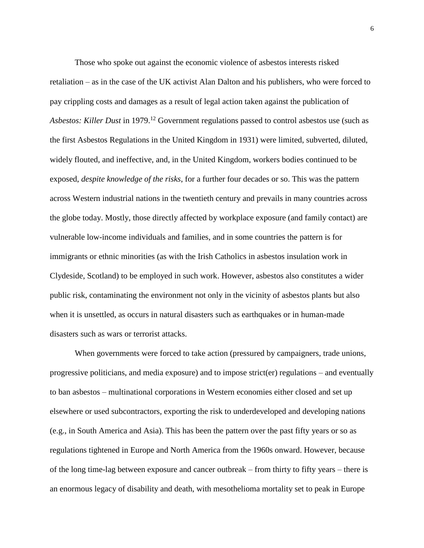Those who spoke out against the economic violence of asbestos interests risked retaliation – as in the case of the UK activist Alan Dalton and his publishers, who were forced to pay crippling costs and damages as a result of legal action taken against the publication of *Asbestos: Killer Dust* in 1979. <sup>12</sup> Government regulations passed to control asbestos use (such as the first Asbestos Regulations in the United Kingdom in 1931) were limited, subverted, diluted, widely flouted, and ineffective, and, in the United Kingdom, workers bodies continued to be exposed, *despite knowledge of the risks*, for a further four decades or so. This was the pattern across Western industrial nations in the twentieth century and prevails in many countries across the globe today. Mostly, those directly affected by workplace exposure (and family contact) are vulnerable low-income individuals and families, and in some countries the pattern is for immigrants or ethnic minorities (as with the Irish Catholics in asbestos insulation work in Clydeside, Scotland) to be employed in such work. However, asbestos also constitutes a wider public risk, contaminating the environment not only in the vicinity of asbestos plants but also when it is unsettled, as occurs in natural disasters such as earthquakes or in human-made disasters such as wars or terrorist attacks.

When governments were forced to take action (pressured by campaigners, trade unions, progressive politicians, and media exposure) and to impose strict(er) regulations – and eventually to ban asbestos – multinational corporations in Western economies either closed and set up elsewhere or used subcontractors, exporting the risk to underdeveloped and developing nations (e.g., in South America and Asia). This has been the pattern over the past fifty years or so as regulations tightened in Europe and North America from the 1960s onward. However, because of the long time-lag between exposure and cancer outbreak – from thirty to fifty years – there is an enormous legacy of disability and death, with mesothelioma mortality set to peak in Europe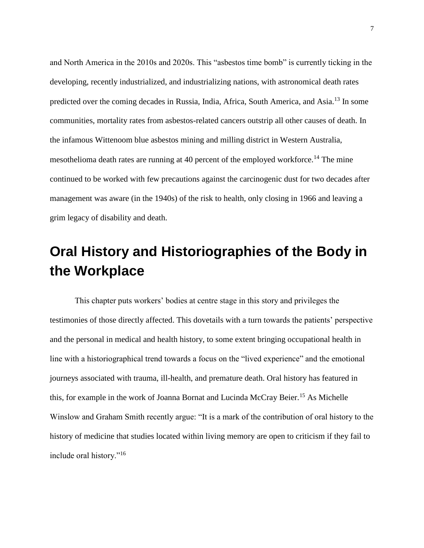and North America in the 2010s and 2020s. This "asbestos time bomb" is currently ticking in the developing, recently industrialized, and industrializing nations, with astronomical death rates predicted over the coming decades in Russia, India, Africa, South America, and Asia.<sup>13</sup> In some communities, mortality rates from asbestos-related cancers outstrip all other causes of death. In the infamous Wittenoom blue asbestos mining and milling district in Western Australia, mesothelioma death rates are running at 40 percent of the employed workforce.<sup>14</sup> The mine continued to be worked with few precautions against the carcinogenic dust for two decades after management was aware (in the 1940s) of the risk to health, only closing in 1966 and leaving a grim legacy of disability and death.

## **Oral History and Historiographies of the Body in the Workplace**

This chapter puts workers' bodies at centre stage in this story and privileges the testimonies of those directly affected. This dovetails with a turn towards the patients' perspective and the personal in medical and health history, to some extent bringing occupational health in line with a historiographical trend towards a focus on the "lived experience" and the emotional journeys associated with trauma, ill-health, and premature death. Oral history has featured in this, for example in the work of Joanna Bornat and Lucinda McCray Beier.<sup>15</sup> As Michelle Winslow and Graham Smith recently argue: "It is a mark of the contribution of oral history to the history of medicine that studies located within living memory are open to criticism if they fail to include oral history."<sup>16</sup>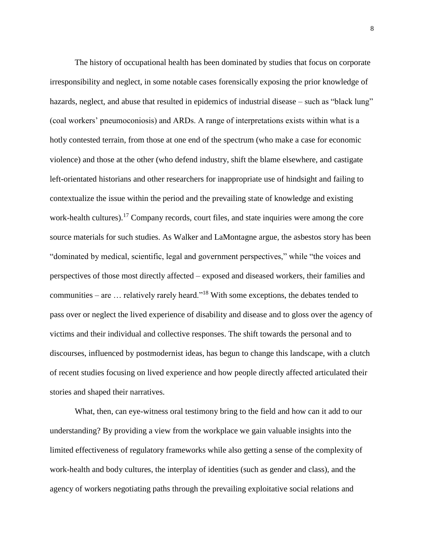The history of occupational health has been dominated by studies that focus on corporate irresponsibility and neglect, in some notable cases forensically exposing the prior knowledge of hazards, neglect, and abuse that resulted in epidemics of industrial disease – such as "black lung" (coal workers' pneumoconiosis) and ARDs. A range of interpretations exists within what is a hotly contested terrain, from those at one end of the spectrum (who make a case for economic violence) and those at the other (who defend industry, shift the blame elsewhere, and castigate left-orientated historians and other researchers for inappropriate use of hindsight and failing to contextualize the issue within the period and the prevailing state of knowledge and existing work-health cultures).<sup>17</sup> Company records, court files, and state inquiries were among the core source materials for such studies. As Walker and LaMontagne argue, the asbestos story has been "dominated by medical, scientific, legal and government perspectives," while "the voices and perspectives of those most directly affected – exposed and diseased workers, their families and communities – are  $\ldots$  relatively rarely heard."<sup>18</sup> With some exceptions, the debates tended to pass over or neglect the lived experience of disability and disease and to gloss over the agency of victims and their individual and collective responses. The shift towards the personal and to discourses, influenced by postmodernist ideas, has begun to change this landscape, with a clutch of recent studies focusing on lived experience and how people directly affected articulated their stories and shaped their narratives.

What, then, can eye-witness oral testimony bring to the field and how can it add to our understanding? By providing a view from the workplace we gain valuable insights into the limited effectiveness of regulatory frameworks while also getting a sense of the complexity of work-health and body cultures, the interplay of identities (such as gender and class), and the agency of workers negotiating paths through the prevailing exploitative social relations and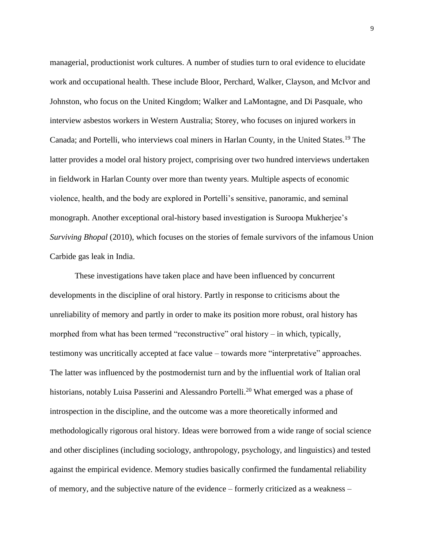managerial, productionist work cultures. A number of studies turn to oral evidence to elucidate work and occupational health. These include Bloor, Perchard, Walker, Clayson, and McIvor and Johnston, who focus on the United Kingdom; Walker and LaMontagne, and Di Pasquale, who interview asbestos workers in Western Australia; Storey, who focuses on injured workers in Canada; and Portelli, who interviews coal miners in Harlan County, in the United States.<sup>19</sup> The latter provides a model oral history project, comprising over two hundred interviews undertaken in fieldwork in Harlan County over more than twenty years. Multiple aspects of economic violence, health, and the body are explored in Portelli's sensitive, panoramic, and seminal monograph. Another exceptional oral-history based investigation is Suroopa Mukherjee's *Surviving Bhopal* (2010), which focuses on the stories of female survivors of the infamous Union Carbide gas leak in India.

These investigations have taken place and have been influenced by concurrent developments in the discipline of oral history. Partly in response to criticisms about the unreliability of memory and partly in order to make its position more robust, oral history has morphed from what has been termed "reconstructive" oral history – in which, typically, testimony was uncritically accepted at face value – towards more "interpretative" approaches. The latter was influenced by the postmodernist turn and by the influential work of Italian oral historians, notably Luisa Passerini and Alessandro Portelli.<sup>20</sup> What emerged was a phase of introspection in the discipline, and the outcome was a more theoretically informed and methodologically rigorous oral history. Ideas were borrowed from a wide range of social science and other disciplines (including sociology, anthropology, psychology, and linguistics) and tested against the empirical evidence. Memory studies basically confirmed the fundamental reliability of memory, and the subjective nature of the evidence – formerly criticized as a weakness –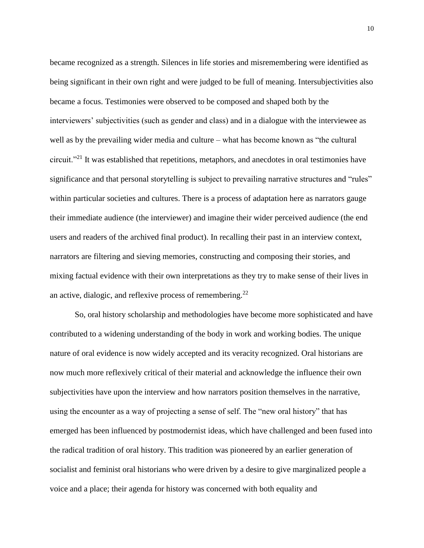became recognized as a strength. Silences in life stories and misremembering were identified as being significant in their own right and were judged to be full of meaning. Intersubjectivities also became a focus. Testimonies were observed to be composed and shaped both by the interviewers' subjectivities (such as gender and class) and in a dialogue with the interviewee as well as by the prevailing wider media and culture – what has become known as "the cultural circuit."<sup>21</sup> It was established that repetitions, metaphors, and anecdotes in oral testimonies have significance and that personal storytelling is subject to prevailing narrative structures and "rules" within particular societies and cultures. There is a process of adaptation here as narrators gauge their immediate audience (the interviewer) and imagine their wider perceived audience (the end users and readers of the archived final product). In recalling their past in an interview context, narrators are filtering and sieving memories, constructing and composing their stories, and mixing factual evidence with their own interpretations as they try to make sense of their lives in an active, dialogic, and reflexive process of remembering. $^{22}$ 

So, oral history scholarship and methodologies have become more sophisticated and have contributed to a widening understanding of the body in work and working bodies. The unique nature of oral evidence is now widely accepted and its veracity recognized. Oral historians are now much more reflexively critical of their material and acknowledge the influence their own subjectivities have upon the interview and how narrators position themselves in the narrative, using the encounter as a way of projecting a sense of self. The "new oral history" that has emerged has been influenced by postmodernist ideas, which have challenged and been fused into the radical tradition of oral history. This tradition was pioneered by an earlier generation of socialist and feminist oral historians who were driven by a desire to give marginalized people a voice and a place; their agenda for history was concerned with both equality and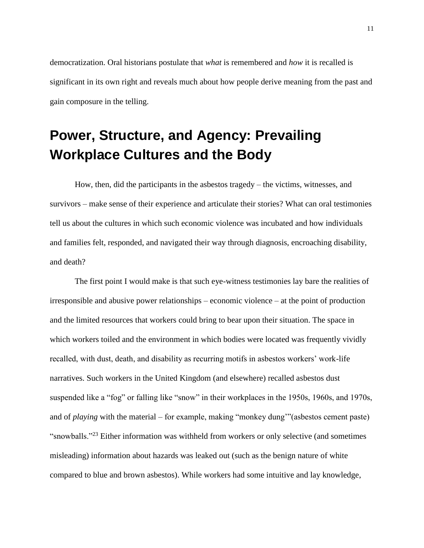democratization. Oral historians postulate that *what* is remembered and *how* it is recalled is significant in its own right and reveals much about how people derive meaning from the past and gain composure in the telling.

# **Power, Structure, and Agency: Prevailing Workplace Cultures and the Body**

How, then, did the participants in the asbestos tragedy – the victims, witnesses, and survivors – make sense of their experience and articulate their stories? What can oral testimonies tell us about the cultures in which such economic violence was incubated and how individuals and families felt, responded, and navigated their way through diagnosis, encroaching disability, and death?

The first point I would make is that such eye-witness testimonies lay bare the realities of irresponsible and abusive power relationships – economic violence – at the point of production and the limited resources that workers could bring to bear upon their situation. The space in which workers toiled and the environment in which bodies were located was frequently vividly recalled, with dust, death, and disability as recurring motifs in asbestos workers' work-life narratives. Such workers in the United Kingdom (and elsewhere) recalled asbestos dust suspended like a "fog" or falling like "snow" in their workplaces in the 1950s, 1960s, and 1970s, and of *playing* with the material – for example, making "monkey dung'"(asbestos cement paste) "snowballs."<sup>23</sup> Either information was withheld from workers or only selective (and sometimes misleading) information about hazards was leaked out (such as the benign nature of white compared to blue and brown asbestos). While workers had some intuitive and lay knowledge,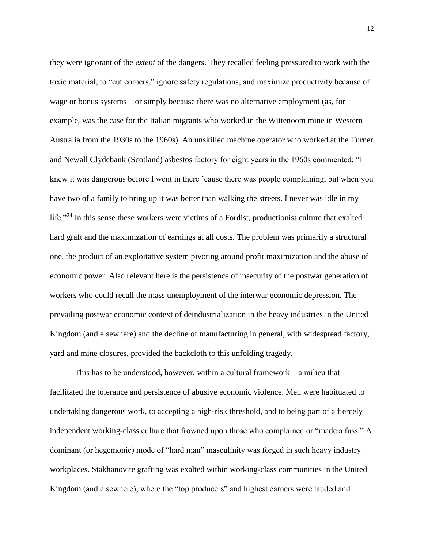they were ignorant of the *extent* of the dangers. They recalled feeling pressured to work with the toxic material, to "cut corners," ignore safety regulations, and maximize productivity because of wage or bonus systems – or simply because there was no alternative employment (as, for example, was the case for the Italian migrants who worked in the Wittenoom mine in Western Australia from the 1930s to the 1960s). An unskilled machine operator who worked at the Turner and Newall Clydebank (Scotland) asbestos factory for eight years in the 1960s commented: "I knew it was dangerous before I went in there 'cause there was people complaining, but when you have two of a family to bring up it was better than walking the streets. I never was idle in my life."<sup>24</sup> In this sense these workers were victims of a Fordist, productionist culture that exalted hard graft and the maximization of earnings at all costs. The problem was primarily a structural one, the product of an exploitative system pivoting around profit maximization and the abuse of economic power. Also relevant here is the persistence of insecurity of the postwar generation of workers who could recall the mass unemployment of the interwar economic depression. The prevailing postwar economic context of deindustrialization in the heavy industries in the United Kingdom (and elsewhere) and the decline of manufacturing in general, with widespread factory, yard and mine closures, provided the backcloth to this unfolding tragedy.

This has to be understood, however, within a cultural framework – a milieu that facilitated the tolerance and persistence of abusive economic violence. Men were habituated to undertaking dangerous work, to accepting a high-risk threshold, and to being part of a fiercely independent working-class culture that frowned upon those who complained or "made a fuss." A dominant (or hegemonic) mode of "hard man" masculinity was forged in such heavy industry workplaces. Stakhanovite grafting was exalted within working-class communities in the United Kingdom (and elsewhere), where the "top producers" and highest earners were lauded and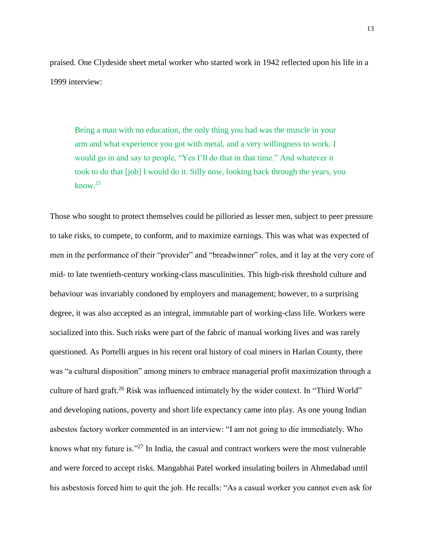praised. One Clydeside sheet metal worker who started work in 1942 reflected upon his life in a 1999 interview:

Being a man with no education, the only thing you had was the muscle in your arm and what experience you got with metal, and a very willingness to work. I would go in and say to people, "Yes I'll do that in that time." And whatever it took to do that [job] I would do it. Silly now, looking back through the years, you know. $25$ 

Those who sought to protect themselves could be pilloried as lesser men, subject to peer pressure to take risks, to compete, to conform, and to maximize earnings. This was what was expected of men in the performance of their "provider" and "breadwinner" roles, and it lay at the very core of mid- to late twentieth-century working-class masculinities. This high-risk threshold culture and behaviour was invariably condoned by employers and management; however, to a surprising degree, it was also accepted as an integral, immutable part of working-class life. Workers were socialized into this. Such risks were part of the fabric of manual working lives and was rarely questioned. As Portelli argues in his recent oral history of coal miners in Harlan County, there was "a cultural disposition" among miners to embrace managerial profit maximization through a culture of hard graft.<sup>26</sup> Risk was influenced intimately by the wider context. In "Third World" and developing nations, poverty and short life expectancy came into play. As one young Indian asbestos factory worker commented in an interview: "I am not going to die immediately. Who knows what my future is."<sup>27</sup> In India, the casual and contract workers were the most vulnerable and were forced to accept risks. Mangabhai Patel worked insulating boilers in Ahmedabad until his asbestosis forced him to quit the job. He recalls: "As a casual worker you cannot even ask for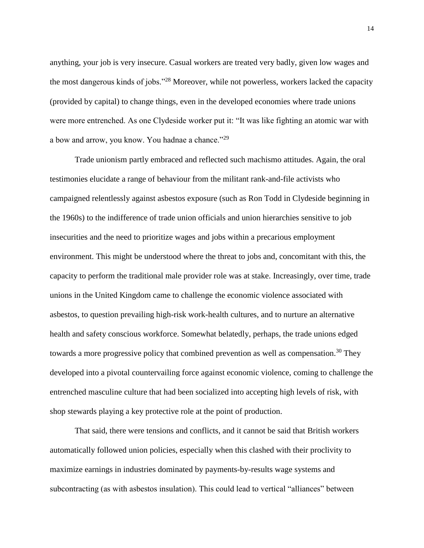anything, your job is very insecure. Casual workers are treated very badly, given low wages and the most dangerous kinds of jobs."<sup>28</sup> Moreover, while not powerless, workers lacked the capacity (provided by capital) to change things, even in the developed economies where trade unions were more entrenched. As one Clydeside worker put it: "It was like fighting an atomic war with a bow and arrow, you know. You hadnae a chance."<sup>29</sup>

Trade unionism partly embraced and reflected such machismo attitudes. Again, the oral testimonies elucidate a range of behaviour from the militant rank-and-file activists who campaigned relentlessly against asbestos exposure (such as Ron Todd in Clydeside beginning in the 1960s) to the indifference of trade union officials and union hierarchies sensitive to job insecurities and the need to prioritize wages and jobs within a precarious employment environment. This might be understood where the threat to jobs and, concomitant with this, the capacity to perform the traditional male provider role was at stake. Increasingly, over time, trade unions in the United Kingdom came to challenge the economic violence associated with asbestos, to question prevailing high-risk work-health cultures, and to nurture an alternative health and safety conscious workforce. Somewhat belatedly, perhaps, the trade unions edged towards a more progressive policy that combined prevention as well as compensation.<sup>30</sup> They developed into a pivotal countervailing force against economic violence, coming to challenge the entrenched masculine culture that had been socialized into accepting high levels of risk, with shop stewards playing a key protective role at the point of production.

That said, there were tensions and conflicts, and it cannot be said that British workers automatically followed union policies, especially when this clashed with their proclivity to maximize earnings in industries dominated by payments-by-results wage systems and subcontracting (as with asbestos insulation). This could lead to vertical "alliances" between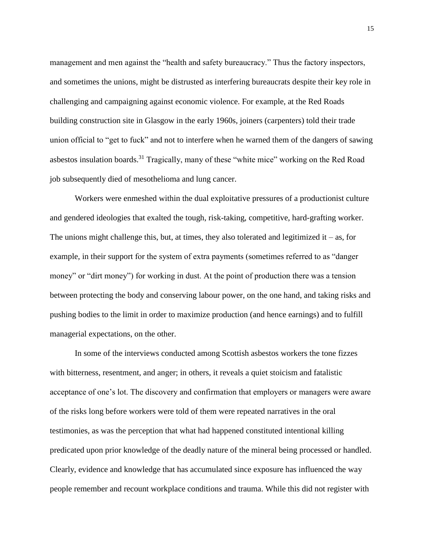management and men against the "health and safety bureaucracy." Thus the factory inspectors, and sometimes the unions, might be distrusted as interfering bureaucrats despite their key role in challenging and campaigning against economic violence. For example, at the Red Roads building construction site in Glasgow in the early 1960s, joiners (carpenters) told their trade union official to "get to fuck" and not to interfere when he warned them of the dangers of sawing asbestos insulation boards.<sup>31</sup> Tragically, many of these "white mice" working on the Red Road job subsequently died of mesothelioma and lung cancer.

Workers were enmeshed within the dual exploitative pressures of a productionist culture and gendered ideologies that exalted the tough, risk-taking, competitive, hard-grafting worker. The unions might challenge this, but, at times, they also tolerated and legitimized it – as, for example, in their support for the system of extra payments (sometimes referred to as "danger money" or "dirt money") for working in dust. At the point of production there was a tension between protecting the body and conserving labour power, on the one hand, and taking risks and pushing bodies to the limit in order to maximize production (and hence earnings) and to fulfill managerial expectations, on the other.

In some of the interviews conducted among Scottish asbestos workers the tone fizzes with bitterness, resentment, and anger; in others, it reveals a quiet stoicism and fatalistic acceptance of one's lot. The discovery and confirmation that employers or managers were aware of the risks long before workers were told of them were repeated narratives in the oral testimonies, as was the perception that what had happened constituted intentional killing predicated upon prior knowledge of the deadly nature of the mineral being processed or handled. Clearly, evidence and knowledge that has accumulated since exposure has influenced the way people remember and recount workplace conditions and trauma. While this did not register with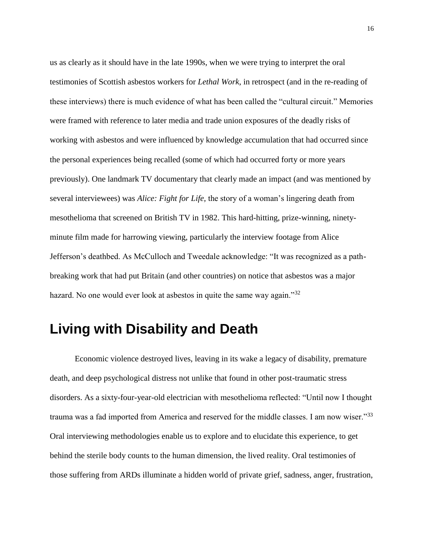us as clearly as it should have in the late 1990s, when we were trying to interpret the oral testimonies of Scottish asbestos workers for *Lethal Work*, in retrospect (and in the re-reading of these interviews) there is much evidence of what has been called the "cultural circuit." Memories were framed with reference to later media and trade union exposures of the deadly risks of working with asbestos and were influenced by knowledge accumulation that had occurred since the personal experiences being recalled (some of which had occurred forty or more years previously). One landmark TV documentary that clearly made an impact (and was mentioned by several interviewees) was *Alice: Fight for Life,* the story of a woman's lingering death from mesothelioma that screened on British TV in 1982. This hard-hitting, prize-winning, ninetyminute film made for harrowing viewing, particularly the interview footage from Alice Jefferson's deathbed. As McCulloch and Tweedale acknowledge: "It was recognized as a pathbreaking work that had put Britain (and other countries) on notice that asbestos was a major hazard. No one would ever look at asbestos in quite the same way again."<sup>32</sup>

### **Living with Disability and Death**

Economic violence destroyed lives, leaving in its wake a legacy of disability, premature death, and deep psychological distress not unlike that found in other post-traumatic stress disorders. As a sixty-four-year-old electrician with mesothelioma reflected: "Until now I thought trauma was a fad imported from America and reserved for the middle classes. I am now wiser."<sup>33</sup> Oral interviewing methodologies enable us to explore and to elucidate this experience, to get behind the sterile body counts to the human dimension, the lived reality. Oral testimonies of those suffering from ARDs illuminate a hidden world of private grief, sadness, anger, frustration,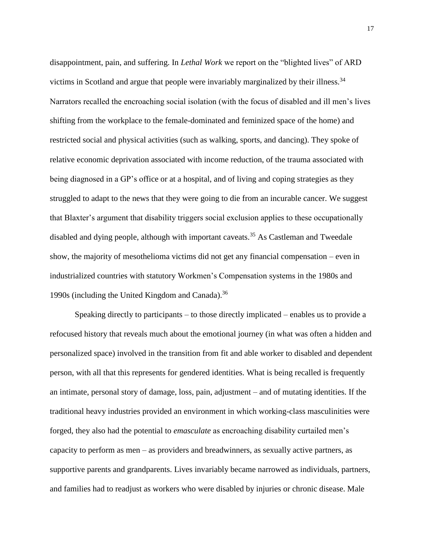disappointment, pain, and suffering. In *Lethal Work* we report on the "blighted lives" of ARD victims in Scotland and argue that people were invariably marginalized by their illness.<sup>34</sup> Narrators recalled the encroaching social isolation (with the focus of disabled and ill men's lives shifting from the workplace to the female-dominated and feminized space of the home) and restricted social and physical activities (such as walking, sports, and dancing). They spoke of relative economic deprivation associated with income reduction, of the trauma associated with being diagnosed in a GP's office or at a hospital, and of living and coping strategies as they struggled to adapt to the news that they were going to die from an incurable cancer. We suggest that Blaxter's argument that disability triggers social exclusion applies to these occupationally disabled and dying people, although with important caveats.<sup>35</sup> As Castleman and Tweedale show, the majority of mesothelioma victims did not get any financial compensation – even in industrialized countries with statutory Workmen's Compensation systems in the 1980s and 1990s (including the United Kingdom and Canada).<sup>36</sup>

Speaking directly to participants – to those directly implicated – enables us to provide a refocused history that reveals much about the emotional journey (in what was often a hidden and personalized space) involved in the transition from fit and able worker to disabled and dependent person, with all that this represents for gendered identities. What is being recalled is frequently an intimate, personal story of damage, loss, pain, adjustment – and of mutating identities. If the traditional heavy industries provided an environment in which working-class masculinities were forged, they also had the potential to *emasculate* as encroaching disability curtailed men's capacity to perform as men – as providers and breadwinners, as sexually active partners, as supportive parents and grandparents. Lives invariably became narrowed as individuals, partners, and families had to readjust as workers who were disabled by injuries or chronic disease. Male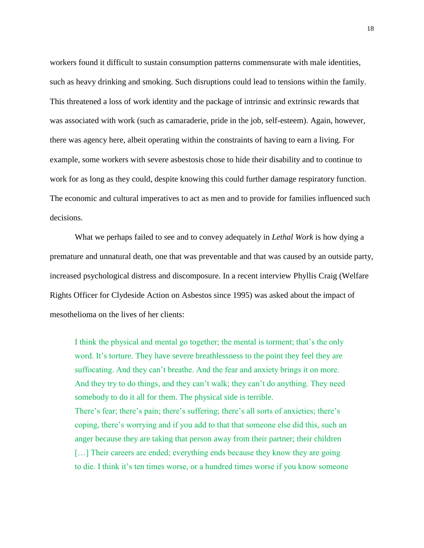workers found it difficult to sustain consumption patterns commensurate with male identities, such as heavy drinking and smoking. Such disruptions could lead to tensions within the family. This threatened a loss of work identity and the package of intrinsic and extrinsic rewards that was associated with work (such as camaraderie, pride in the job, self-esteem). Again, however, there was agency here, albeit operating within the constraints of having to earn a living. For example, some workers with severe asbestosis chose to hide their disability and to continue to work for as long as they could, despite knowing this could further damage respiratory function. The economic and cultural imperatives to act as men and to provide for families influenced such decisions.

What we perhaps failed to see and to convey adequately in *Lethal Work* is how dying a premature and unnatural death, one that was preventable and that was caused by an outside party, increased psychological distress and discomposure. In a recent interview Phyllis Craig (Welfare Rights Officer for Clydeside Action on Asbestos since 1995) was asked about the impact of mesothelioma on the lives of her clients:

I think the physical and mental go together; the mental is torment; that's the only word. It's torture. They have severe breathlessness to the point they feel they are suffocating. And they can't breathe. And the fear and anxiety brings it on more. And they try to do things, and they can't walk; they can't do anything. They need somebody to do it all for them. The physical side is terrible. There's fear; there's pain; there's suffering; there's all sorts of anxieties; there's coping, there's worrying and if you add to that that someone else did this, such an anger because they are taking that person away from their partner; their children [...] Their careers are ended; everything ends because they know they are going to die. I think it's ten times worse, or a hundred times worse if you know someone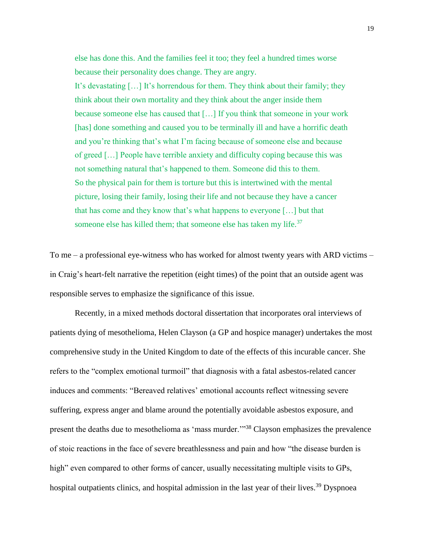else has done this. And the families feel it too; they feel a hundred times worse because their personality does change. They are angry.

It's devastating […] It's horrendous for them. They think about their family; they think about their own mortality and they think about the anger inside them because someone else has caused that […] If you think that someone in your work [has] done something and caused you to be terminally ill and have a horrific death and you're thinking that's what I'm facing because of someone else and because of greed […] People have terrible anxiety and difficulty coping because this was not something natural that's happened to them. Someone did this to them. So the physical pain for them is torture but this is intertwined with the mental picture, losing their family, losing their life and not because they have a cancer that has come and they know that's what happens to everyone […] but that someone else has killed them; that someone else has taken my life. $37$ 

To me – a professional eye-witness who has worked for almost twenty years with ARD victims – in Craig's heart-felt narrative the repetition (eight times) of the point that an outside agent was responsible serves to emphasize the significance of this issue.

Recently, in a mixed methods doctoral dissertation that incorporates oral interviews of patients dying of mesothelioma, Helen Clayson (a GP and hospice manager) undertakes the most comprehensive study in the United Kingdom to date of the effects of this incurable cancer. She refers to the "complex emotional turmoil" that diagnosis with a fatal asbestos-related cancer induces and comments: "Bereaved relatives' emotional accounts reflect witnessing severe suffering, express anger and blame around the potentially avoidable asbestos exposure, and present the deaths due to mesothelioma as 'mass murder.'"<sup>38</sup> Clayson emphasizes the prevalence of stoic reactions in the face of severe breathlessness and pain and how "the disease burden is high" even compared to other forms of cancer, usually necessitating multiple visits to GPs, hospital outpatients clinics, and hospital admission in the last year of their lives.<sup>39</sup> Dyspnoea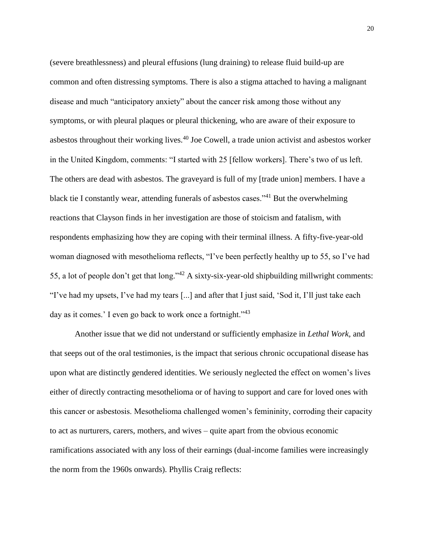(severe breathlessness) and pleural effusions (lung draining) to release fluid build-up are common and often distressing symptoms. There is also a stigma attached to having a malignant disease and much "anticipatory anxiety" about the cancer risk among those without any symptoms, or with pleural plaques or pleural thickening, who are aware of their exposure to asbestos throughout their working lives.<sup>40</sup> Joe Cowell, a trade union activist and asbestos worker in the United Kingdom, comments: "I started with 25 [fellow workers]. There's two of us left. The others are dead with asbestos. The graveyard is full of my [trade union] members. I have a black tie I constantly wear, attending funerals of asbestos cases."<sup>41</sup> But the overwhelming reactions that Clayson finds in her investigation are those of stoicism and fatalism, with respondents emphasizing how they are coping with their terminal illness. A fifty-five-year-old woman diagnosed with mesothelioma reflects, "I've been perfectly healthy up to 55, so I've had 55, a lot of people don't get that long."<sup>42</sup> A sixty-six-year-old shipbuilding millwright comments: "I've had my upsets, I've had my tears [...] and after that I just said, 'Sod it, I'll just take each day as it comes.' I even go back to work once a fortnight."<sup>43</sup>

Another issue that we did not understand or sufficiently emphasize in *Lethal Work,* and that seeps out of the oral testimonies, is the impact that serious chronic occupational disease has upon what are distinctly gendered identities. We seriously neglected the effect on women's lives either of directly contracting mesothelioma or of having to support and care for loved ones with this cancer or asbestosis. Mesothelioma challenged women's femininity, corroding their capacity to act as nurturers, carers, mothers, and wives – quite apart from the obvious economic ramifications associated with any loss of their earnings (dual-income families were increasingly the norm from the 1960s onwards). Phyllis Craig reflects: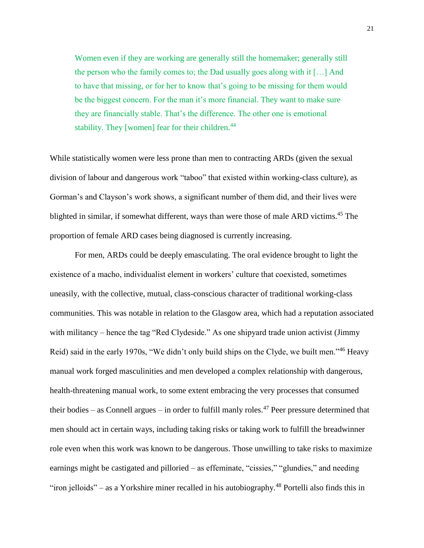Women even if they are working are generally still the homemaker; generally still the person who the family comes to; the Dad usually goes along with it […] And to have that missing, or for her to know that's going to be missing for them would be the biggest concern. For the man it's more financial. They want to make sure they are financially stable. That's the difference. The other one is emotional stability. They [women] fear for their children.<sup>44</sup>

While statistically women were less prone than men to contracting ARDs (given the sexual division of labour and dangerous work "taboo" that existed within working-class culture), as Gorman's and Clayson's work shows, a significant number of them did, and their lives were blighted in similar, if somewhat different, ways than were those of male ARD victims.<sup>45</sup> The proportion of female ARD cases being diagnosed is currently increasing.

For men, ARDs could be deeply emasculating. The oral evidence brought to light the existence of a macho, individualist element in workers' culture that coexisted, sometimes uneasily, with the collective, mutual, class-conscious character of traditional working-class communities. This was notable in relation to the Glasgow area, which had a reputation associated with militancy – hence the tag "Red Clydeside." As one shipyard trade union activist (Jimmy Reid) said in the early 1970s, "We didn't only build ships on the Clyde, we built men."<sup>46</sup> Heavy manual work forged masculinities and men developed a complex relationship with dangerous, health-threatening manual work, to some extent embracing the very processes that consumed their bodies – as Connell argues – in order to fulfill manly roles.<sup>47</sup> Peer pressure determined that men should act in certain ways, including taking risks or taking work to fulfill the breadwinner role even when this work was known to be dangerous. Those unwilling to take risks to maximize earnings might be castigated and pilloried – as effeminate, "cissies," "glundies," and needing "iron jelloids" – as a Yorkshire miner recalled in his autobiography.<sup>48</sup> Portelli also finds this in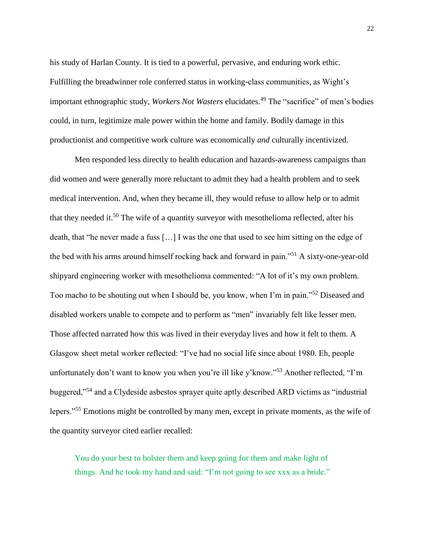his study of Harlan County. It is tied to a powerful, pervasive, and enduring work ethic. Fulfilling the breadwinner role conferred status in working-class communities, as Wight's important ethnographic study, *Workers Not Wasters* elucidates.<sup>49</sup> The "sacrifice" of men's bodies could, in turn, legitimize male power within the home and family. Bodily damage in this productionist and competitive work culture was economically *and* culturally incentivized.

Men responded less directly to health education and hazards-awareness campaigns than did women and were generally more reluctant to admit they had a health problem and to seek medical intervention. And, when they became ill, they would refuse to allow help or to admit that they needed it.<sup>50</sup> The wife of a quantity surveyor with mesothelioma reflected, after his death, that "he never made a fuss […] I was the one that used to see him sitting on the edge of the bed with his arms around himself rocking back and forward in pain."<sup>51</sup> A sixty-one-year-old shipyard engineering worker with mesothelioma commented: "A lot of it's my own problem. Too macho to be shouting out when I should be, you know, when I'm in pain."<sup>52</sup> Diseased and disabled workers unable to compete and to perform as "men" invariably felt like lesser men. Those affected narrated how this was lived in their everyday lives and how it felt to them. A Glasgow sheet metal worker reflected: "I've had no social life since about 1980. Eh, people unfortunately don't want to know you when you're ill like y'know."<sup>53</sup> Another reflected, "I'm buggered,"<sup>54</sup> and a Clydeside asbestos sprayer quite aptly described ARD victims as "industrial lepers."<sup>55</sup> Emotions might be controlled by many men, except in private moments, as the wife of the quantity surveyor cited earlier recalled:

You do your best to bolster them and keep going for them and make light of things. And he took my hand and said: "I'm not going to see xxx as a bride."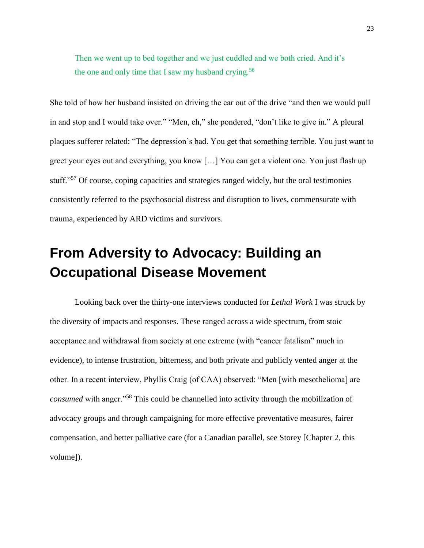Then we went up to bed together and we just cuddled and we both cried. And it's the one and only time that I saw my husband crying.<sup>56</sup>

She told of how her husband insisted on driving the car out of the drive "and then we would pull in and stop and I would take over." "Men, eh," she pondered, "don't like to give in." A pleural plaques sufferer related: "The depression's bad. You get that something terrible. You just want to greet your eyes out and everything, you know […] You can get a violent one. You just flash up stuff."<sup>57</sup> Of course, coping capacities and strategies ranged widely, but the oral testimonies consistently referred to the psychosocial distress and disruption to lives, commensurate with trauma, experienced by ARD victims and survivors.

# **From Adversity to Advocacy: Building an Occupational Disease Movement**

Looking back over the thirty-one interviews conducted for *Lethal Work* I was struck by the diversity of impacts and responses. These ranged across a wide spectrum, from stoic acceptance and withdrawal from society at one extreme (with "cancer fatalism" much in evidence), to intense frustration, bitterness, and both private and publicly vented anger at the other. In a recent interview, Phyllis Craig (of CAA) observed: "Men [with mesothelioma] are *consumed* with anger."<sup>58</sup> This could be channelled into activity through the mobilization of advocacy groups and through campaigning for more effective preventative measures, fairer compensation, and better palliative care (for a Canadian parallel, see Storey [Chapter 2, this volume]).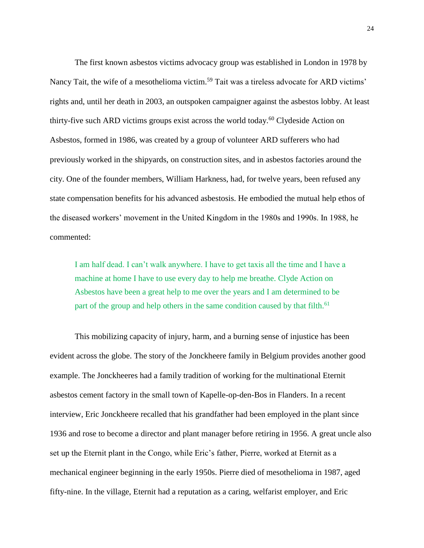The first known asbestos victims advocacy group was established in London in 1978 by Nancy Tait, the wife of a mesothelioma victim.<sup>59</sup> Tait was a tireless advocate for ARD victims' rights and, until her death in 2003, an outspoken campaigner against the asbestos lobby. At least thirty-five such ARD victims groups exist across the world today.<sup>60</sup> Clydeside Action on Asbestos, formed in 1986, was created by a group of volunteer ARD sufferers who had previously worked in the shipyards, on construction sites, and in asbestos factories around the city. One of the founder members, William Harkness, had, for twelve years, been refused any state compensation benefits for his advanced asbestosis. He embodied the mutual help ethos of the diseased workers' movement in the United Kingdom in the 1980s and 1990s. In 1988, he commented:

I am half dead. I can't walk anywhere. I have to get taxis all the time and I have a machine at home I have to use every day to help me breathe. Clyde Action on Asbestos have been a great help to me over the years and I am determined to be part of the group and help others in the same condition caused by that filth.<sup>61</sup>

This mobilizing capacity of injury, harm, and a burning sense of injustice has been evident across the globe. The story of the Jonckheere family in Belgium provides another good example. The Jonckheeres had a family tradition of working for the multinational Eternit asbestos cement factory in the small town of Kapelle-op-den-Bos in Flanders. In a recent interview, Eric Jonckheere recalled that his grandfather had been employed in the plant since 1936 and rose to become a director and plant manager before retiring in 1956. A great uncle also set up the Eternit plant in the Congo, while Eric's father, Pierre, worked at Eternit as a mechanical engineer beginning in the early 1950s. Pierre died of mesothelioma in 1987, aged fifty-nine. In the village, Eternit had a reputation as a caring, welfarist employer, and Eric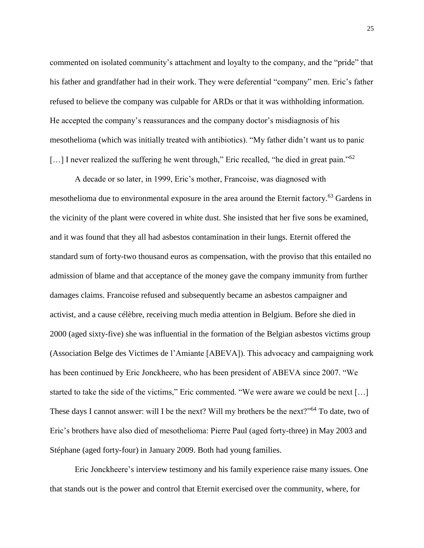commented on isolated community's attachment and loyalty to the company, and the "pride" that his father and grandfather had in their work. They were deferential "company" men. Eric's father refused to believe the company was culpable for ARDs or that it was withholding information. He accepted the company's reassurances and the company doctor's misdiagnosis of his mesothelioma (which was initially treated with antibiotics). "My father didn't want us to panic  $\left[ \ldots \right]$  I never realized the suffering he went through," Eric recalled, "he died in great pain."<sup>62</sup>

A decade or so later, in 1999, Eric's mother, Francoise, was diagnosed with mesothelioma due to environmental exposure in the area around the Eternit factory.<sup>63</sup> Gardens in the vicinity of the plant were covered in white dust. She insisted that her five sons be examined, and it was found that they all had asbestos contamination in their lungs. Eternit offered the standard sum of forty-two thousand euros as compensation, with the proviso that this entailed no admission of blame and that acceptance of the money gave the company immunity from further damages claims. Francoise refused and subsequently became an asbestos campaigner and activist, and a cause célèbre, receiving much media attention in Belgium. Before she died in 2000 (aged sixty-five) she was influential in the formation of the Belgian asbestos victims group (Association Belge des Victimes de l'Amiante [ABEVA]). This advocacy and campaigning work has been continued by Eric Jonckheere, who has been president of ABEVA since 2007. "We started to take the side of the victims," Eric commented. "We were aware we could be next […] These days I cannot answer: will I be the next? Will my brothers be the next?"<sup>64</sup> To date, two of Eric's brothers have also died of mesothelioma: Pierre Paul (aged forty-three) in May 2003 and Stéphane (aged forty-four) in January 2009. Both had young families.

Eric Jonckheere's interview testimony and his family experience raise many issues. One that stands out is the power and control that Eternit exercised over the community, where, for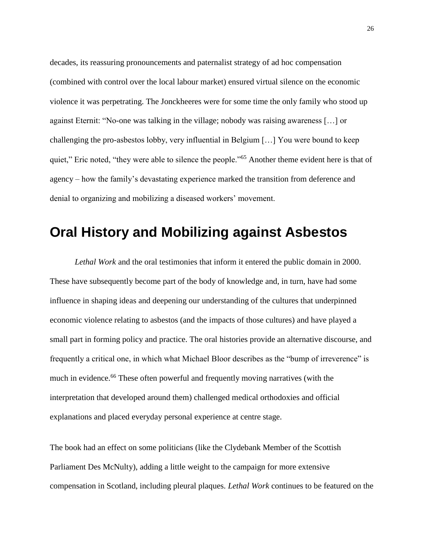decades, its reassuring pronouncements and paternalist strategy of ad hoc compensation (combined with control over the local labour market) ensured virtual silence on the economic violence it was perpetrating. The Jonckheeres were for some time the only family who stood up against Eternit: "No-one was talking in the village; nobody was raising awareness […] or challenging the pro-asbestos lobby, very influential in Belgium […] You were bound to keep quiet," Eric noted, "they were able to silence the people."<sup>65</sup> Another theme evident here is that of agency – how the family's devastating experience marked the transition from deference and denial to organizing and mobilizing a diseased workers' movement.

### **Oral History and Mobilizing against Asbestos**

*Lethal Work* and the oral testimonies that inform it entered the public domain in 2000. These have subsequently become part of the body of knowledge and, in turn, have had some influence in shaping ideas and deepening our understanding of the cultures that underpinned economic violence relating to asbestos (and the impacts of those cultures) and have played a small part in forming policy and practice. The oral histories provide an alternative discourse, and frequently a critical one, in which what Michael Bloor describes as the "bump of irreverence" is much in evidence.<sup>66</sup> These often powerful and frequently moving narratives (with the interpretation that developed around them) challenged medical orthodoxies and official explanations and placed everyday personal experience at centre stage.

The book had an effect on some politicians (like the Clydebank Member of the Scottish Parliament Des McNulty), adding a little weight to the campaign for more extensive compensation in Scotland, including pleural plaques. *Lethal Work* continues to be featured on the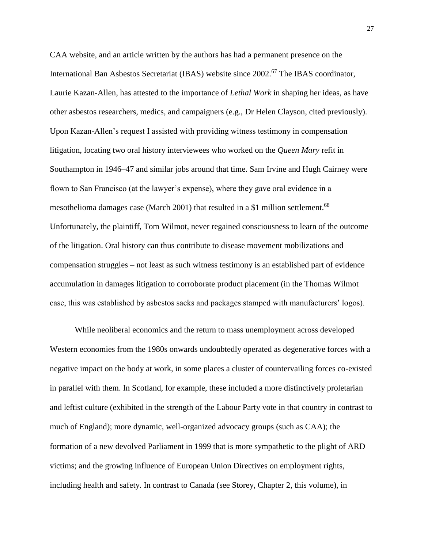CAA website, and an article written by the authors has had a permanent presence on the International Ban Asbestos Secretariat (IBAS) website since 2002.<sup>67</sup> The IBAS coordinator, Laurie Kazan-Allen, has attested to the importance of *Lethal Work* in shaping her ideas, as have other asbestos researchers, medics, and campaigners (e.g., Dr Helen Clayson, cited previously). Upon Kazan-Allen's request I assisted with providing witness testimony in compensation litigation, locating two oral history interviewees who worked on the *Queen Mary* refit in Southampton in 1946–47 and similar jobs around that time. Sam Irvine and Hugh Cairney were flown to San Francisco (at the lawyer's expense), where they gave oral evidence in a mesothelioma damages case (March 2001) that resulted in a \$1 million settlement.<sup>68</sup> Unfortunately, the plaintiff, Tom Wilmot, never regained consciousness to learn of the outcome of the litigation. Oral history can thus contribute to disease movement mobilizations and compensation struggles – not least as such witness testimony is an established part of evidence accumulation in damages litigation to corroborate product placement (in the Thomas Wilmot case, this was established by asbestos sacks and packages stamped with manufacturers' logos).

While neoliberal economics and the return to mass unemployment across developed Western economies from the 1980s onwards undoubtedly operated as degenerative forces with a negative impact on the body at work, in some places a cluster of countervailing forces co-existed in parallel with them. In Scotland, for example, these included a more distinctively proletarian and leftist culture (exhibited in the strength of the Labour Party vote in that country in contrast to much of England); more dynamic, well-organized advocacy groups (such as CAA); the formation of a new devolved Parliament in 1999 that is more sympathetic to the plight of ARD victims; and the growing influence of European Union Directives on employment rights, including health and safety. In contrast to Canada (see Storey, Chapter 2, this volume), in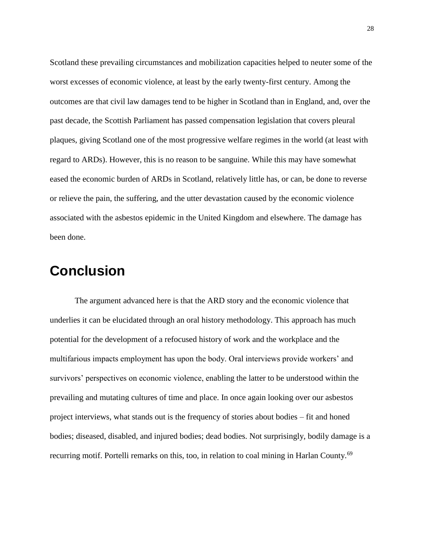Scotland these prevailing circumstances and mobilization capacities helped to neuter some of the worst excesses of economic violence, at least by the early twenty-first century. Among the outcomes are that civil law damages tend to be higher in Scotland than in England, and, over the past decade, the Scottish Parliament has passed compensation legislation that covers pleural plaques, giving Scotland one of the most progressive welfare regimes in the world (at least with regard to ARDs). However, this is no reason to be sanguine. While this may have somewhat eased the economic burden of ARDs in Scotland, relatively little has, or can, be done to reverse or relieve the pain, the suffering, and the utter devastation caused by the economic violence associated with the asbestos epidemic in the United Kingdom and elsewhere. The damage has been done.

### **Conclusion**

The argument advanced here is that the ARD story and the economic violence that underlies it can be elucidated through an oral history methodology. This approach has much potential for the development of a refocused history of work and the workplace and the multifarious impacts employment has upon the body. Oral interviews provide workers' and survivors' perspectives on economic violence, enabling the latter to be understood within the prevailing and mutating cultures of time and place. In once again looking over our asbestos project interviews, what stands out is the frequency of stories about bodies – fit and honed bodies; diseased, disabled, and injured bodies; dead bodies. Not surprisingly, bodily damage is a recurring motif. Portelli remarks on this, too, in relation to coal mining in Harlan County.<sup>69</sup>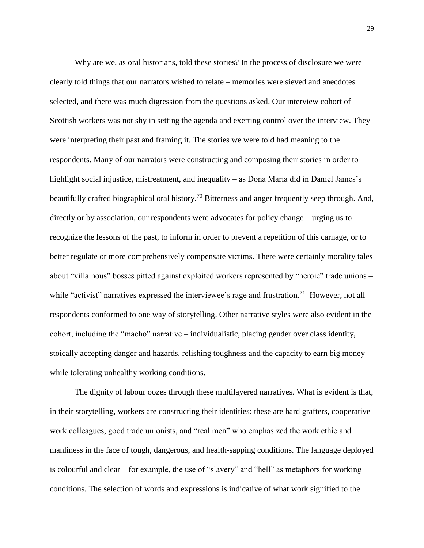Why are we, as oral historians, told these stories? In the process of disclosure we were clearly told things that our narrators wished to relate – memories were sieved and anecdotes selected, and there was much digression from the questions asked. Our interview cohort of Scottish workers was not shy in setting the agenda and exerting control over the interview. They were interpreting their past and framing it. The stories we were told had meaning to the respondents. Many of our narrators were constructing and composing their stories in order to highlight social injustice, mistreatment, and inequality – as Dona Maria did in Daniel James's beautifully crafted biographical oral history.<sup>70</sup> Bitterness and anger frequently seep through. And, directly or by association, our respondents were advocates for policy change – urging us to recognize the lessons of the past, to inform in order to prevent a repetition of this carnage, or to better regulate or more comprehensively compensate victims. There were certainly morality tales about "villainous" bosses pitted against exploited workers represented by "heroic" trade unions – while "activist" narratives expressed the interviewee's rage and frustration.<sup>71</sup> However, not all respondents conformed to one way of storytelling. Other narrative styles were also evident in the cohort, including the "macho" narrative – individualistic, placing gender over class identity, stoically accepting danger and hazards, relishing toughness and the capacity to earn big money while tolerating unhealthy working conditions.

The dignity of labour oozes through these multilayered narratives. What is evident is that, in their storytelling, workers are constructing their identities: these are hard grafters, cooperative work colleagues, good trade unionists, and "real men" who emphasized the work ethic and manliness in the face of tough, dangerous, and health-sapping conditions. The language deployed is colourful and clear – for example, the use of "slavery" and "hell" as metaphors for working conditions. The selection of words and expressions is indicative of what work signified to the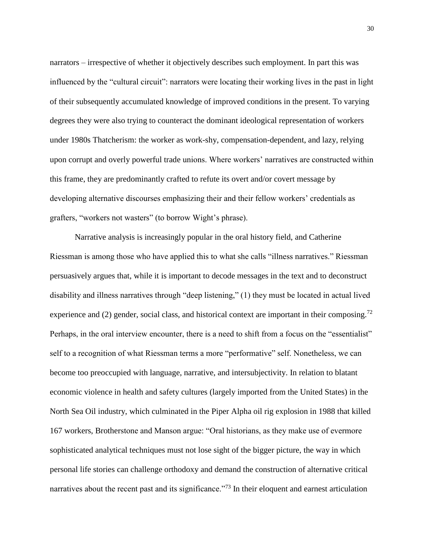narrators – irrespective of whether it objectively describes such employment. In part this was influenced by the "cultural circuit": narrators were locating their working lives in the past in light of their subsequently accumulated knowledge of improved conditions in the present. To varying degrees they were also trying to counteract the dominant ideological representation of workers under 1980s Thatcherism: the worker as work-shy, compensation-dependent, and lazy, relying upon corrupt and overly powerful trade unions. Where workers' narratives are constructed within this frame, they are predominantly crafted to refute its overt and/or covert message by developing alternative discourses emphasizing their and their fellow workers' credentials as grafters, "workers not wasters" (to borrow Wight's phrase).

Narrative analysis is increasingly popular in the oral history field, and Catherine Riessman is among those who have applied this to what she calls "illness narratives." Riessman persuasively argues that, while it is important to decode messages in the text and to deconstruct disability and illness narratives through "deep listening," (1) they must be located in actual lived experience and (2) gender, social class, and historical context are important in their composing.<sup>72</sup> Perhaps, in the oral interview encounter, there is a need to shift from a focus on the "essentialist" self to a recognition of what Riessman terms a more "performative" self. Nonetheless, we can become too preoccupied with language, narrative, and intersubjectivity. In relation to blatant economic violence in health and safety cultures (largely imported from the United States) in the North Sea Oil industry, which culminated in the Piper Alpha oil rig explosion in 1988 that killed 167 workers, Brotherstone and Manson argue: "Oral historians, as they make use of evermore sophisticated analytical techniques must not lose sight of the bigger picture, the way in which personal life stories can challenge orthodoxy and demand the construction of alternative critical narratives about the recent past and its significance.<sup>"73</sup> In their eloquent and earnest articulation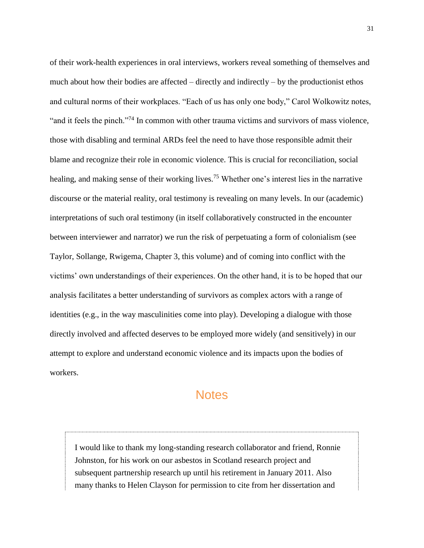of their work-health experiences in oral interviews, workers reveal something of themselves and much about how their bodies are affected – directly and indirectly – by the productionist ethos and cultural norms of their workplaces. "Each of us has only one body," Carol Wolkowitz notes, "and it feels the pinch."<sup>74</sup> In common with other trauma victims and survivors of mass violence, those with disabling and terminal ARDs feel the need to have those responsible admit their blame and recognize their role in economic violence. This is crucial for reconciliation, social healing, and making sense of their working lives.<sup>75</sup> Whether one's interest lies in the narrative discourse or the material reality, oral testimony is revealing on many levels. In our (academic) interpretations of such oral testimony (in itself collaboratively constructed in the encounter between interviewer and narrator) we run the risk of perpetuating a form of colonialism (see Taylor, Sollange, Rwigema, Chapter 3, this volume) and of coming into conflict with the victims' own understandings of their experiences. On the other hand, it is to be hoped that our analysis facilitates a better understanding of survivors as complex actors with a range of identities (e.g., in the way masculinities come into play). Developing a dialogue with those directly involved and affected deserves to be employed more widely (and sensitively) in our attempt to explore and understand economic violence and its impacts upon the bodies of workers.

#### **Notes**

I would like to thank my long-standing research collaborator and friend, Ronnie Johnston, for his work on our asbestos in Scotland research project and subsequent partnership research up until his retirement in January 2011. Also many thanks to Helen Clayson for permission to cite from her dissertation and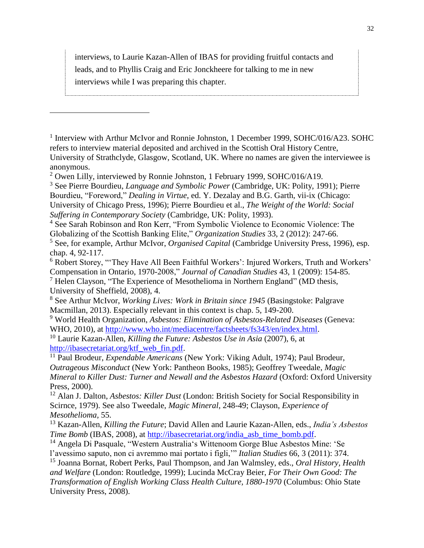interviews, to Laurie Kazan-Allen of IBAS for providing fruitful contacts and leads, and to Phyllis Craig and Eric Jonckheere for talking to me in new interviews while I was preparing this chapter.

<sup>1</sup> Interview with Arthur McIvor and Ronnie Johnston, 1 December 1999, SOHC/016/A23. SOHC refers to interview material deposited and archived in the Scottish Oral History Centre, University of Strathclyde, Glasgow, Scotland, UK. Where no names are given the interviewee is anonymous.

<sup>3</sup> See Pierre Bourdieu, *Language and Symbolic Power* (Cambridge, UK: Polity, 1991); Pierre Bourdieu, "Foreword," *Dealing in Virtue*, ed. Y. Dezalay and B.G. Garth, vii-ix (Chicago: University of Chicago Press, 1996); Pierre Bourdieu et al., *The Weight of the World: Social Suffering in Contemporary Society* (Cambridge, UK: Polity, 1993).

<sup>4</sup> See Sarah Robinson and Ron Kerr, "From Symbolic Violence to Economic Violence: The Globalizing of the Scottish Banking Elite," *Organization Studies* 33, 2 (2012): 247-66.

<sup>5</sup> See, for example, Arthur McIvor, *Organised Capital* (Cambridge University Press, 1996), esp. chap. 4, 92-117.

<sup>6</sup> Robert Storey, "'They Have All Been Faithful Workers': Injured Workers, Truth and Workers' Compensation in Ontario, 1970-2008," *Journal of Canadian Studies* 43, 1 (2009): 154-85. <sup>7</sup> Helen Clayson, "The Experience of Mesothelioma in Northern England" (MD thesis,

University of Sheffield, 2008), 4.

 $\overline{a}$ 

<sup>8</sup> See Arthur McIvor, *Working Lives: Work in Britain since 1945* (Basingstoke: Palgrave Macmillan, 2013). Especially relevant in this context is chap. 5, 149-200.

<sup>9</sup> World Health Organization, *Asbestos: Elimination of Asbestos-Related Diseases* (Geneva: WHO, 2010), at [http://www.who.int/mediacentre/factsheets/fs343/en/index.html.](http://www.who.int/mediacentre/factsheets/fs343/en/index.html)

<sup>10</sup> Laurie Kazan-Allen, *Killing the Future: Asbestos Use in Asia* (2007), 6, at [http://ibasecretariat.org/ktf\\_web\\_fin.pdf.](http://ibasecretariat.org/ktf_web_fin.pdf)

<sup>11</sup> Paul Brodeur, *Expendable Americans* (New York: Viking Adult, 1974); Paul Brodeur, *Outrageous Misconduct* (New York: Pantheon Books, 1985); Geoffrey Tweedale, *Magic Mineral to Killer Dust: Turner and Newall and the Asbestos Hazard* (Oxford: Oxford University Press, 2000).

<sup>12</sup> Alan J. Dalton, *Asbestos: Killer Dust* (London: British Society for Social Responsibility in Scirnce, 1979). See also Tweedale, *Magic Mineral*, 248-49; Clayson, *Experience of Mesothelioma,* 55.

<sup>13</sup> Kazan-Allen, *Killing the Future*; David Allen and Laurie Kazan-Allen, eds., *India's Asbestos Time Bomb* (IBAS, 2008), at http://ibasecretariat.org/india asb time bomb.pdf.

<sup>14</sup> Angela Di Pasquale, "Western Australia's Wittenoom Gorge Blue Asbestos Mine: 'Se l'avessimo saputo, non ci avremmo mai portato i figli,'" *Italian Studies* 66, 3 (2011): 374.

<sup>15</sup> Joanna Bornat, Robert Perks, Paul Thompson, and Jan Walmsley, eds., *Oral History, Health and Welfare* (London: Routledge, 1999); Lucinda McCray Beier, *For Their Own Good: The Transformation of English Working Class Health Culture, 1880-1970* (Columbus: Ohio State University Press, 2008).

<sup>&</sup>lt;sup>2</sup> Owen Lilly, interviewed by Ronnie Johnston, 1 February 1999, SOHC/016/A19.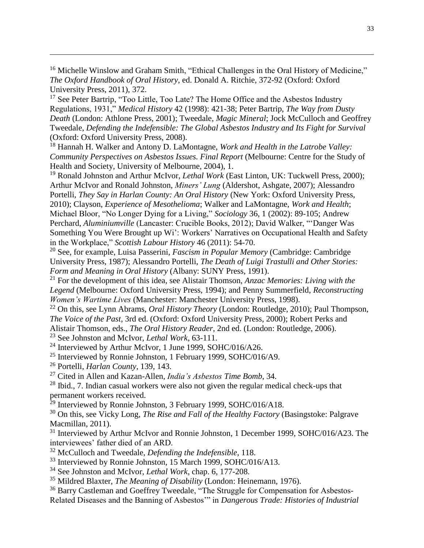<sup>16</sup> Michelle Winslow and Graham Smith, "Ethical Challenges in the Oral History of Medicine," *The Oxford Handbook of Oral History*, ed. Donald A. Ritchie, 372-92 (Oxford: Oxford University Press, 2011), 372.

<sup>17</sup> See Peter Bartrip, "Too Little, Too Late? The Home Office and the Asbestos Industry Regulations, 1931," *Medical History* 42 (1998): 421-38; Peter Bartrip, *The Way from Dusty Death* (London: Athlone Press, 2001); Tweedale, *Magic Mineral*; Jock McCulloch and Geoffrey Tweedale, *Defending the Indefensible: The Global Asbestos Industry and Its Fight for Survival*  (Oxford: Oxford University Press, 2008).

<sup>18</sup> Hannah H. Walker and Antony D. LaMontagne, *Work and Health in the Latrobe Valley: Community Perspectives on Asbestos Issues. Final Report* (Melbourne: Centre for the Study of Health and Society, University of Melbourne, 2004), 1.

<sup>19</sup> Ronald Johnston and Arthur McIvor, *Lethal Work* (East Linton, UK: Tuckwell Press, 2000); Arthur McIvor and Ronald Johnston, *Miners' Lung* (Aldershot, Ashgate, 2007); Alessandro Portelli, *They Say in Harlan County: An Oral History* (New York: Oxford University Press, 2010); Clayson, *Experience of Mesothelioma*; Walker and LaMontagne, *Work and Health*; Michael Bloor, "No Longer Dying for a Living," *Sociology* 36, 1 (2002): 89-105; Andrew Perchard, *Aluminiumville* (Lancaster: Crucible Books, 2012); David Walker, "'Danger Was Something You Were Brought up Wi': Workers' Narratives on Occupational Health and Safety in the Workplace," *Scottish Labour History* 46 (2011): 54-70.

<sup>20</sup> See, for example, Luisa Passerini, *Fascism in Popular Memory* (Cambridge: Cambridge University Press, 1987); Alessandro Portelli, *The Death of Luigi Trastulli and Other Stories: Form and Meaning in Oral History* (Albany: SUNY Press, 1991).

<sup>21</sup> For the development of this idea, see Alistair Thomson, *Anzac Memories: Living with the Legend* (Melbourne: Oxford University Press, 1994); and Penny Summerfield, *Reconstructing Women's Wartime Lives* (Manchester: Manchester University Press, 1998).

<sup>22</sup> On this, see Lynn Abrams, *Oral History Theory* (London: Routledge, 2010); Paul Thompson, *The Voice of the Past*, 3rd ed. (Oxford: Oxford University Press, 2000); Robert Perks and Alistair Thomson, eds., *The Oral History Reader*, 2nd ed. (London: Routledge, 2006).

<sup>23</sup> See Johnston and McIvor, *Lethal Work*, 63-111.

<sup>24</sup> Interviewed by Arthur McIvor, 1 June 1999, SOHC/016/A26.

<sup>25</sup> Interviewed by Ronnie Johnston, 1 February 1999, SOHC/016/A9.

<sup>26</sup> Portelli, *Harlan County*, 139, 143.

 $\overline{a}$ 

<sup>27</sup> Cited in Allen and Kazan-Allen, *India's Asbestos Time Bomb*, 34.

 $28$  Ibid., 7. Indian casual workers were also not given the regular medical check-ups that permanent workers received.

<sup>29</sup> Interviewed by Ronnie Johnston, 3 February 1999, SOHC/016/A18.

<sup>30</sup> On this, see Vicky Long, *The Rise and Fall of the Healthy Factory* (Basingstoke: Palgrave Macmillan, 2011).

<sup>31</sup> Interviewed by Arthur McIvor and Ronnie Johnston, 1 December 1999, SOHC/016/A23. The interviewees' father died of an ARD.

<sup>32</sup> McCulloch and Tweedale, *Defending the Indefensible*, 118.

<sup>33</sup> Interviewed by Ronnie Johnston, 15 March 1999, SOHC/016/A13.

<sup>34</sup> See Johnston and McIvor, *Lethal Work*, chap. 6, 177-208.

<sup>35</sup> Mildred Blaxter, *The Meaning of Disability* (London: Heinemann, 1976).

<sup>36</sup> Barry Castleman and Goeffrey Tweedale, "The Struggle for Compensation for Asbestos-Related Diseases and the Banning of Asbestos'" in *Dangerous Trade: Histories of Industrial*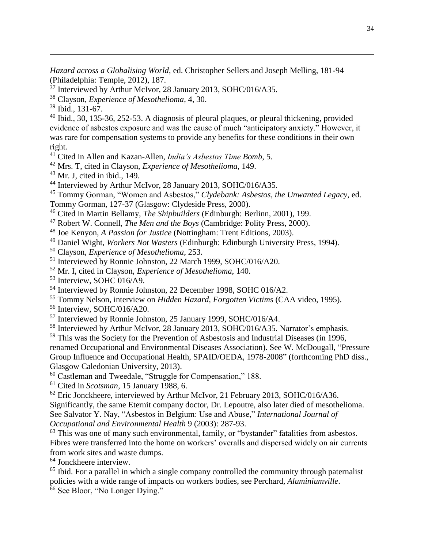*Hazard across a Globalising World*, ed. Christopher Sellers and Joseph Melling, 181-94 (Philadelphia: Temple, 2012), 187.

 $37$  Interviewed by Arthur McIvor, 28 January 2013, SOHC/016/A35.

<sup>38</sup> Clayson, *Experience of Mesothelioma*, 4, 30.

<sup>39</sup> Ibid., 131-67.

 $\overline{a}$ 

<sup>40</sup> Ibid., 30, 135-36, 252-53. A diagnosis of pleural plaques, or pleural thickening, provided evidence of asbestos exposure and was the cause of much "anticipatory anxiety." However, it was rare for compensation systems to provide any benefits for these conditions in their own right.

<sup>41</sup> Cited in Allen and Kazan-Allen, *India's Asbestos Time Bomb*, 5.

<sup>42</sup> Mrs. T, cited in Clayson, *Experience of Mesothelioma*, 149.

 $43$  Mr. J, cited in ibid., 149.

<sup>44</sup> Interviewed by Arthur McIvor, 28 January 2013, SOHC/016/A35.

<sup>45</sup> Tommy Gorman, "Women and Asbestos," *Clydebank: Asbestos, the Unwanted Legacy*, ed. Tommy Gorman, 127-37 (Glasgow: Clydeside Press, 2000).

<sup>46</sup> Cited in Martin Bellamy, *The Shipbuilders* (Edinburgh: Berlinn, 2001), 199.

<sup>47</sup> Robert W. Connell, *The Men and the Boys* (Cambridge: Polity Press, 2000).

<sup>48</sup> Joe Kenyon, *A Passion for Justice* (Nottingham: Trent Editions, 2003).

<sup>49</sup> Daniel Wight, *Workers Not Wasters* (Edinburgh: Edinburgh University Press, 1994).

<sup>50</sup> Clayson, *Experience of Mesothelioma*, 253.

<sup>51</sup> Interviewed by Ronnie Johnston, 22 March 1999, SOHC/016/A20.

<sup>52</sup> Mr. I, cited in Clayson, *Experience of Mesothelioma*, 140.

<sup>53</sup> Interview, SOHC 016/A9.

<sup>54</sup> Interviewed by Ronnie Johnston, 22 December 1998, SOHC 016/A2.

<sup>55</sup> Tommy Nelson, interview on *Hidden Hazard, Forgotten Victims* (CAA video, 1995).

<sup>56</sup> Interview, SOHC/016/A20.

<sup>57</sup> Interviewed by Ronnie Johnston, 25 January 1999, SOHC/016/A4.

<sup>58</sup> Interviewed by Arthur McIvor, 28 January 2013, SOHC/016/A35. Narrator's emphasis.

<sup>59</sup> This was the Society for the Prevention of Asbestosis and Industrial Diseases (in 1996,

renamed Occupational and Environmental Diseases Association). See W. McDougall, "Pressure Group Influence and Occupational Health, SPAID/OEDA, 1978-2008" (forthcoming PhD diss., Glasgow Caledonian University, 2013).

<sup>60</sup> Castleman and Tweedale, "Struggle for Compensation," 188.

<sup>61</sup> Cited in *Scotsman*, 15 January 1988, 6.

<sup>62</sup> Eric Jonckheere, interviewed by Arthur McIvor, 21 February 2013, SOHC/016/A36.

Significantly, the same Eternit company doctor, Dr. Lepoutre, also later died of mesothelioma. See Salvator Y. Nay, "Asbestos in Belgium: Use and Abuse," *International Journal of Occupational and Environmental Health* 9 (2003): 287-93.

<sup>63</sup> This was one of many such environmental, family, or "bystander" fatalities from asbestos. Fibres were transferred into the home on workers' overalls and dispersed widely on air currents from work sites and waste dumps.

<sup>64</sup> Jonckheere interview.

 $65$  Ibid. For a parallel in which a single company controlled the community through paternalist policies with a wide range of impacts on workers bodies, see Perchard, *Aluminiumville*.

<sup>66</sup> See Bloor, "No Longer Dying."